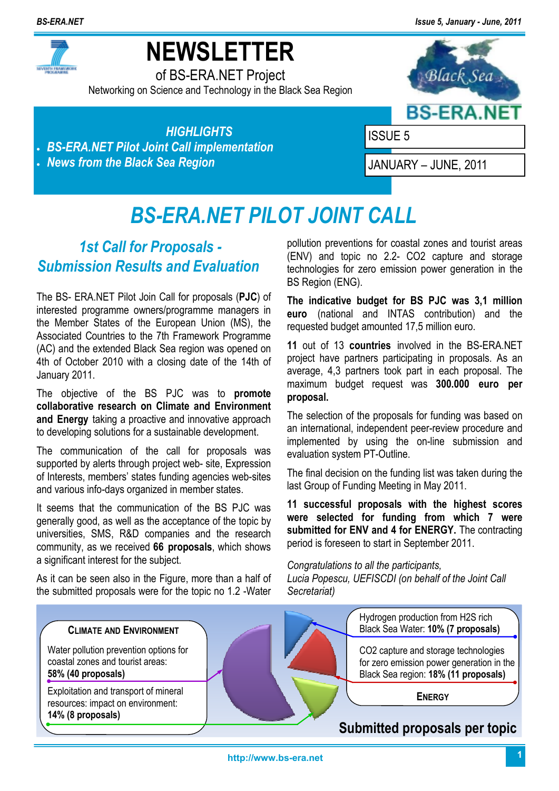*BS-ERA.NET Issue 5, January - June, 2011*



# **NEWSLETTER**

of BS-ERA.NET Project Networking on Science and Technology in the Black Sea Region



*HIGHLIGHTS*  • *BS-ERA.NET Pilot Joint Call implementation*  • *News from the Black Sea Region* 

ISSUE 5

JANUARY – JUNE, 2011

# *BS-ERA.NET PILOT JOINT CALL*

### *1st Call for Proposals - Submission Results and Evaluation*

The BS- ERA.NET Pilot Join Call for proposals (**PJC**) of interested programme owners/programme managers in the Member States of the European Union (MS), the Associated Countries to the 7th Framework Programme (AC) and the extended Black Sea region was opened on 4th of October 2010 with a closing date of the 14th of January 2011.

The objective of the BS PJC was to **promote collaborative research on Climate and Environment and Energy** taking a proactive and innovative approach to developing solutions for a sustainable development.

The communication of the call for proposals was supported by alerts through project web- site, Expression of Interests, members' states funding agencies web-sites and various info-days organized in member states.

It seems that the communication of the BS PJC was generally good, as well as the acceptance of the topic by universities, SMS, R&D companies and the research community, as we received **66 proposals**, which shows a significant interest for the subject.

As it can be seen also in the Figure, more than a half of the submitted proposals were for the topic no 1.2 -Water pollution preventions for coastal zones and tourist areas (ENV) and topic no 2.2- CO2 capture and storage technologies for zero emission power generation in the BS Region (ENG).

**The indicative budget for BS PJC was 3,1 million euro** (national and INTAS contribution) and the requested budget amounted 17,5 million euro.

**11** out of 13 **countries** involved in the BS-ERA.NET project have partners participating in proposals. As an average, 4,3 partners took part in each proposal. The maximum budget request was **300.000 euro per proposal.**

The selection of the proposals for funding was based on an international, independent peer-review procedure and implemented by using the on-line submission and evaluation system PT-Outline.

The final decision on the funding list was taken during the last Group of Funding Meeting in May 2011.

**11 successful proposals with the highest scores were selected for funding from which 7 were submitted for ENV and 4 for ENERGY.** The contracting period is foreseen to start in September 2011.

*Congratulations to all the participants,* 

*Lucia Popescu, UEFISCDI (on behalf of the Joint Call Secretariat)* 

### **CLIMATE AND ENVIRONMENT**

Water pollution prevention options for coastal zones and tourist areas: **58% (40 proposals)**

Exploitation and transport of mineral resources: impact on environment: **14% (8 proposals)**



Hydrogen production from H2S rich Black Sea Water: **10% (7 proposals)**

CO2 capture and storage technologies for zero emission power generation in the Black Sea region: **18% (11 proposals)**

**ENERGY**

### **Submitted proposals per topic**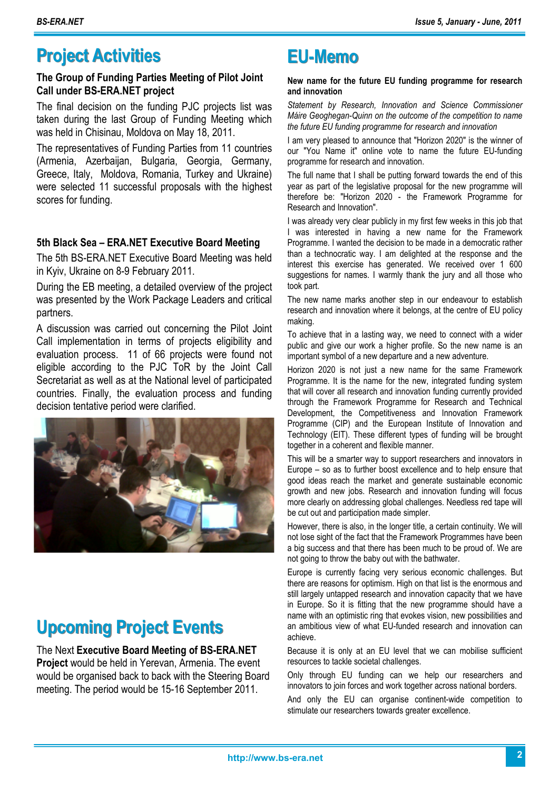### **Project Activities EU-Memo**

#### **The Group of Funding Parties Meeting of Pilot Joint Call under BS-ERA.NET project**

The final decision on the funding PJC projects list was taken during the last Group of Funding Meeting which was held in Chisinau, Moldova on May 18, 2011.

The representatives of Funding Parties from 11 countries (Armenia, Azerbaijan, Bulgaria, Georgia, Germany, Greece, Italy, Moldova, Romania, Turkey and Ukraine) were selected 11 successful proposals with the highest scores for funding.

#### **5th Black Sea – ERA.NET Executive Board Meeting**

The 5th BS-ERA.NET Executive Board Meeting was held in Kyiv, Ukraine on 8-9 February 2011.

During the EB meeting, a detailed overview of the project was presented by the Work Package Leaders and critical partners.

A discussion was carried out concerning the Pilot Joint Call implementation in terms of projects eligibility and evaluation process. 11 of 66 projects were found not eligible according to the PJC ToR by the Joint Call Secretariat as well as at the National level of participated countries. Finally, the evaluation process and funding decision tentative period were clarified.



## **Upcoming Project Events**

### The Next **Executive Board Meeting of BS-ERA.NET**

**Project** would be held in Yerevan, Armenia. The event would be organised back to back with the Steering Board meeting. The period would be 15-16 September 2011.

#### **New name for the future EU funding programme for research and innovation**

*Statement by Research, Innovation and Science Commissioner Máire Geoghegan-Quinn on the outcome of the competition to name the future EU funding programme for research and innovation* 

I am very pleased to announce that "Horizon 2020" is the winner of our "You Name it" online vote to name the future EU-funding programme for research and innovation.

The full name that I shall be putting forward towards the end of this year as part of the legislative proposal for the new programme will therefore be: "Horizon 2020 - the Framework Programme for Research and Innovation".

I was already very clear publicly in my first few weeks in this job that I was interested in having a new name for the Framework Programme. I wanted the decision to be made in a democratic rather than a technocratic way. I am delighted at the response and the interest this exercise has generated. We received over 1 600 suggestions for names. I warmly thank the jury and all those who took part.

The new name marks another step in our endeavour to establish research and innovation where it belongs, at the centre of EU policy making.

To achieve that in a lasting way, we need to connect with a wider public and give our work a higher profile. So the new name is an important symbol of a new departure and a new adventure.

Horizon 2020 is not just a new name for the same Framework Programme. It is the name for the new, integrated funding system that will cover all research and innovation funding currently provided through the Framework Programme for Research and Technical Development, the Competitiveness and Innovation Framework Programme (CIP) and the European Institute of Innovation and Technology (EIT). These different types of funding will be brought together in a coherent and flexible manner.

This will be a smarter way to support researchers and innovators in Europe – so as to further boost excellence and to help ensure that good ideas reach the market and generate sustainable economic growth and new jobs. Research and innovation funding will focus more clearly on addressing global challenges. Needless red tape will be cut out and participation made simpler.

However, there is also, in the longer title, a certain continuity. We will not lose sight of the fact that the Framework Programmes have been a big success and that there has been much to be proud of. We are not going to throw the baby out with the bathwater.

Europe is currently facing very serious economic challenges. But there are reasons for optimism. High on that list is the enormous and still largely untapped research and innovation capacity that we have in Europe. So it is fitting that the new programme should have a name with an optimistic ring that evokes vision, new possibilities and an ambitious view of what EU-funded research and innovation can achieve.

Because it is only at an EU level that we can mobilise sufficient resources to tackle societal challenges.

Only through EU funding can we help our researchers and innovators to join forces and work together across national borders.

And only the EU can organise continent-wide competition to stimulate our researchers towards greater excellence.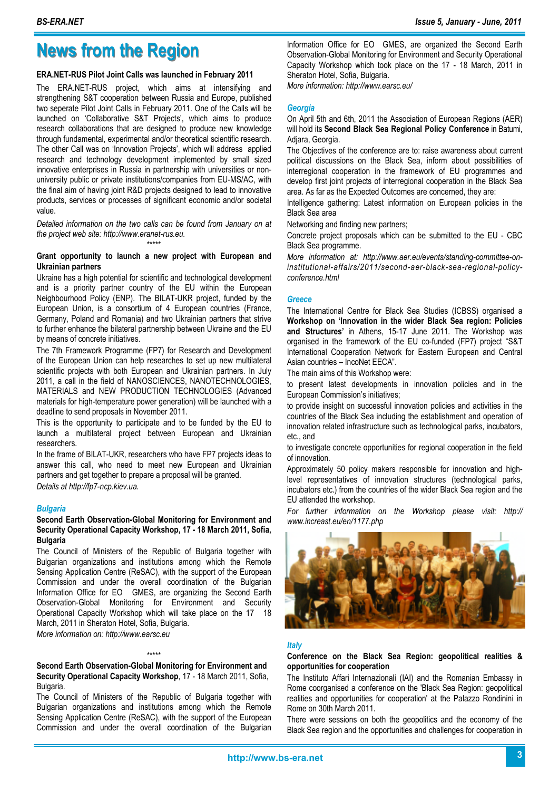### **News from the Region**

#### **ERA.NET-RUS Pilot Joint Calls was launched in February 2011**

The ERA.NET-RUS project, which aims at intensifying and strengthening S&T cooperation between Russia and Europe, published two seperate Pilot Joint Calls in February 2011. One of the Calls will be launched on 'Collaborative S&T Projects', which aims to produce research collaborations that are designed to produce new knowledge through fundamental, experimental and/or theoretical scientific research. The other Call was on 'Innovation Projects', which will address applied research and technology development implemented by small sized innovative enterprises in Russia in partnership with universities or nonuniversity public or private institutions/companies from EU-MS/AC, with the final aim of having joint R&D projects designed to lead to innovative products, services or processes of significant economic and/or societal value.

*Detailed information on the two calls can be found from January on at the project web site: http://www.eranet-rus.eu.* 

#### \*\*\*\*\* **Grant opportunity to launch a new project with European and Ukrainian partners**

Ukraine has a high potential for scientific and technological development and is a priority partner country of the EU within the European Neighbourhood Policy (ENP). The BILAT-UKR project, funded by the European Union, is a consortium of 4 European countries (France, Germany, Poland and Romania) and two Ukrainian partners that strive to further enhance the bilateral partnership between Ukraine and the EU by means of concrete initiatives.

The 7th Framework Programme (FP7) for Research and Development of the European Union can help researches to set up new multilateral scientific projects with both European and Ukrainian partners. In July 2011, a call in the field of NANOSCIENCES, NANOTECHNOLOGIES, MATERIALS and NEW PRODUCTION TECHNOLOGIES (Advanced materials for high-temperature power generation) will be launched with a deadline to send proposals in November 2011.

This is the opportunity to participate and to be funded by the EU to launch a multilateral project between European and Ukrainian researchers.

In the frame of BILAT-UKR, researchers who have FP7 projects ideas to answer this call, who need to meet new European and Ukrainian partners and get together to prepare a proposal will be granted. *Details at http://fp7-ncp.kiev.ua.* 

#### *Bulgaria*

#### **Second Earth Observation-Global Monitoring for Environment and Security Operational Capacity Workshop, 17 - 18 March 2011, Sofia, Bulgaria**

The Council of Ministers of the Republic of Bulgaria together with Bulgarian organizations and institutions among which the Remote Sensing Application Centre (ReSAC), with the support of the European Commission and under the overall coordination of the Bulgarian Information Office for EO GMES, are organizing the Second Earth Observation-Global Monitoring for Environment and Security Operational Capacity Workshop which will take place on the 17 18 March, 2011 in Sheraton Hotel, Sofia, Bulgaria.

*More information on: http://www.earsc.eu* 

#### \*\*\*\*\* **Second Earth Observation-Global Monitoring for Environment and Security Operational Capacity Workshop**, 17 - 18 March 2011, Sofia, Bulgaria.

The Council of Ministers of the Republic of Bulgaria together with Bulgarian organizations and institutions among which the Remote Sensing Application Centre (ReSAC), with the support of the European Commission and under the overall coordination of the Bulgarian Information Office for EO GMES, are organized the Second Earth Observation-Global Monitoring for Environment and Security Operational Capacity Workshop which took place on the 17 - 18 March, 2011 in Sheraton Hotel, Sofia, Bulgaria.

*More information: http://www.earsc.eu/* 

#### *Georgia*

On April 5th and 6th, 2011 the Association of European Regions (AER) will hold its **Second Black Sea Regional Policy Conference** in Batumi, Adjara, Georgia.

The Objectives of the conference are to: raise awareness about current political discussions on the Black Sea, inform about possibilities of interregional cooperation in the framework of EU programmes and develop first joint projects of interregional cooperation in the Black Sea area. As far as the Expected Outcomes are concerned, they are:

Intelligence gathering: Latest information on European policies in the Black Sea area

Networking and finding new partners;

Concrete project proposals which can be submitted to the EU - CBC Black Sea programme.

*More information at: http://www.aer.eu/events/standing-committee-oninstitutional-affairs/2011/second-aer-black-sea-regional-policyconference.html* 

#### *Greece*

The International Centre for Black Sea Studies (ICBSS) organised a **Workshop on 'Innovation in the wider Black Sea region: Policies and Structures'** in Athens, 15-17 June 2011. The Workshop was organised in the framework of the EU co-funded (FP7) project "S&T International Cooperation Network for Eastern European and Central Asian countries – IncoNet EECA".

The main aims of this Workshop were:

to present latest developments in innovation policies and in the European Commission's initiatives;

to provide insight on successful innovation policies and activities in the countries of the Black Sea including the establishment and operation of innovation related infrastructure such as technological parks, incubators, etc., and

to investigate concrete opportunities for regional cooperation in the field of innovation.

Approximately 50 policy makers responsible for innovation and highlevel representatives of innovation structures (technological parks, incubators etc.) from the countries of the wider Black Sea region and the EU attended the workshop.

*For further information on the Workshop please visit: http:// www.increast.eu/en/1177.php* 



#### *Italy*

#### **Conference on the Black Sea Region: geopolitical realities & opportunities for cooperation**

The Instituto Affari Internazionali (IAI) and the Romanian Embassy in Rome coorganised a conference on the 'Black Sea Region: geopolitical realities and opportunities for cooperation' at the Palazzo Rondinini in Rome on 30th March 2011.

There were sessions on both the geopolitics and the economy of the Black Sea region and the opportunities and challenges for cooperation in